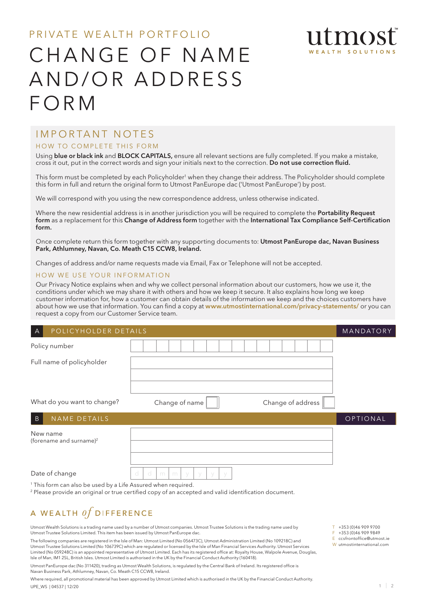## PRIVATE WEALTH PORTFOLIO CHANGE OF NAME AND/OR ADDRESS FORM

## IMPORTANT NOTES

## HOW TO COMPLETE THIS FORM

Using blue or black ink and BLOCK CAPITALS, ensure all relevant sections are fully completed. If you make a mistake, cross it out, put in the correct words and sign your initials next to the correction. Do not use correction fluid.

This form must be completed by each Policyholder<sup>1</sup> when they change their address. The Policyholder should complete this form in full and return the original form to Utmost PanEurope dac ('Utmost PanEurope') by post.

We will correspond with you using the new correspondence address, unless otherwise indicated.

Where the new residential address is in another jurisdiction you will be required to complete the Portability Request form as a replacement for this Change of Address form together with the International Tax Compliance Self-Certification form.

Once complete return this form together with any supporting documents to: Utmost PanEurope dac, Navan Business Park, Athlumney, Navan, Co. Meath C15 CCW8, Ireland.

Changes of address and/or name requests made via Email, Fax or Telephone will not be accepted.

## HOW WE USE YOUR INFORMATION

Our Privacy Notice explains when and why we collect personal information about our customers, how we use it, the conditions under which we may share it with others and how we keep it secure. It also explains how long we keep customer information for, how a customer can obtain details of the information we keep and the choices customers have about how we use that information. You can find a copy at www.utmostinternational.com/privacy-statements/ or you can request a copy from our Customer Service team.

| POLICYHOLDER DETAILS<br>$\forall$                                        | MANDATORY                                                                                                                            |                       |
|--------------------------------------------------------------------------|--------------------------------------------------------------------------------------------------------------------------------------|-----------------------|
| Policy number                                                            |                                                                                                                                      |                       |
| Full name of policyholder                                                |                                                                                                                                      |                       |
|                                                                          |                                                                                                                                      |                       |
| What do you want to change?                                              | Change of address<br>Change of name                                                                                                  |                       |
| NAME DETAILS<br>$\overline{B}$                                           |                                                                                                                                      | OPTIONAL              |
| New name<br>(forename and surname) <sup>2</sup>                          |                                                                                                                                      |                       |
|                                                                          |                                                                                                                                      |                       |
| Date of change                                                           | d<br>m<br>m                                                                                                                          |                       |
| <sup>1</sup> This form can also be used by a Life Assured when required. | <sup>2</sup> Please provide an original or true certified copy of an accepted and valid identification document.                     |                       |
| A WEALTH $of$ DIFFERENCE                                                 |                                                                                                                                      |                       |
|                                                                          | Utmost Wealth Solutions is a trading name used by a number of Utmost companies. Utmost Trustee Solutions is the trading name used by | $T + 353(0)469099700$ |

Utmost Wealth Solutions is a trading name used by a number of Utmost companies. Utmost Trustee Solutions is the trading name used by Utmost Trustee Solutions Limited. This item has been issued by Utmost PanEurope dac.

The following companies are registered in the Isle of Man: Utmost Limited (No 056473C), Utmost Administration Limited (No 109218C) and Utmost Trustee Solutions Limited (No 106739C) which are regulated or licensed by the Isle of Man Financial Services Authority. Utmost Services Limited (No 059248C) is an appointed representative of Utmost Limited. Each has its registered office at: Royalty House, Walpole Avenue, Douglas, Isle of Man, IM1 2SL, British Isles. Utmost Limited is authorised in the UK by the Financial Conduct Authority (160418).

Utmost PanEurope dac (No 311420), trading as Utmost Wealth Solutions, is regulated by the Central Bank of Ireland. Its registered office is Navan Business Park, Athlumney, Navan, Co. Meath C15 CCW8, Ireland.

Where required, all promotional material has been approved by Utmost Limited which is authorised in the UK by the Financial Conduct Authority UPE\_WS | 04537 | 12/20

T +353 (0)46 909 9700 F +353 (0)46 909 9849

E ccsfrontoffice@utmost.ie

mos

W utmostinternational.com